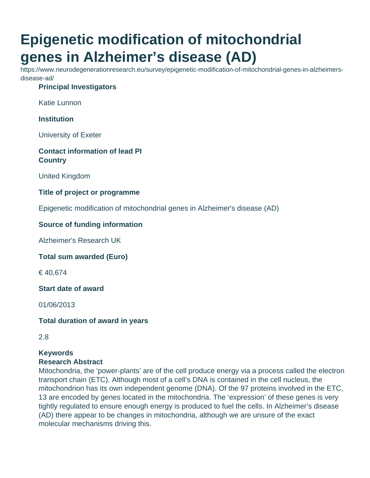# **Epigenetic modification of mitochondrial genes in Alzheimer's disease (AD)**

https://www.neurodegenerationresearch.eu/survey/epigenetic-modification-of-mitochondrial-genes-in-alzheimersdisease-ad/

# **Principal Investigators**

Katie Lunnon

**Institution**

University of Exeter

#### **Contact information of lead PI Country**

United Kingdom

#### **Title of project or programme**

Epigenetic modification of mitochondrial genes in Alzheimer's disease (AD)

#### **Source of funding information**

Alzheimer's Research UK

**Total sum awarded (Euro)**

€ 40,674

**Start date of award**

01/06/2013

**Total duration of award in years**

2.8

#### **Keywords Research Abstract**

# Mitochondria, the 'power-plants' are of the cell produce energy via a process called the electron transport chain (ETC). Although most of a cell's DNA is contained in the cell nucleus, the mitochondrion has its own independent genome (DNA). Of the 97 proteins involved in the ETC, 13 are encoded by genes located in the mitochondria. The 'expression' of these genes is very tightly regulated to ensure enough energy is produced to fuel the cells. In Alzheimer's disease (AD) there appear to be changes in mitochondria, although we are unsure of the exact molecular mechanisms driving this.